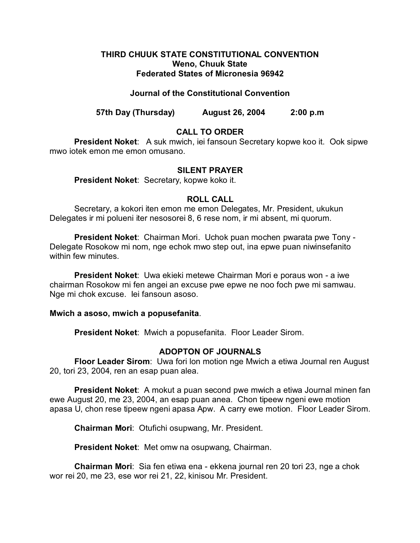## **THIRD CHUUK STATE CONSTITUTIONAL CONVENTION Weno, Chuuk State Federated States of Micronesia 96942**

## **Journal of the Constitutional Convention**

**57th Day (Thursday) August 26, 2004 2:00 p.m**

# **CALL TO ORDER**

**President Noket**: A suk mwich, iei fansoun Secretary kopwe koo it. Ook sipwe mwo iotek emon me emon omusano.

### **SILENT PRAYER**

**President Noket**: Secretary, kopwe koko it.

## **ROLL CALL**

Secretary, a kokori iten emon me emon Delegates, Mr. President, ukukun Delegates ir mi polueni iter nesosorei 8, 6 rese nom, ir mi absent, mi quorum.

**President Noket**: Chairman Mori. Uchok puan mochen pwarata pwe Tony - Delegate Rosokow mi nom, nge echok mwo step out, ina epwe puan niwinsefanito within few minutes.

**President Noket**: Uwa ekieki metewe Chairman Mori e poraus won - a iwe chairman Rosokow mi fen angei an excuse pwe epwe ne noo foch pwe mi samwau. Nge mi chok excuse. Iei fansoun asoso.

### **Mwich a asoso, mwich a popusefanita**.

**President Noket**: Mwich a popusefanita. Floor Leader Sirom.

# **ADOPTON OF JOURNALS**

**Floor Leader Sirom**: Uwa fori lon motion nge Mwich a etiwa Journal ren August 20, tori 23, 2004, ren an esap puan alea.

**President Noket**: A mokut a puan second pwe mwich a etiwa Journal minen fan ewe August 20, me 23, 2004, an esap puan anea. Chon tipeew ngeni ewe motion apasa U, chon rese tipeew ngeni apasa Apw. A carry ewe motion. Floor Leader Sirom.

**Chairman Mori**: Otufichi osupwang, Mr. President.

**President Noket**: Met omw na osupwang, Chairman.

**Chairman Mori**: Sia fen etiwa ena - ekkena journal ren 20 tori 23, nge a chok wor rei 20, me 23, ese wor rei 21, 22, kinisou Mr. President.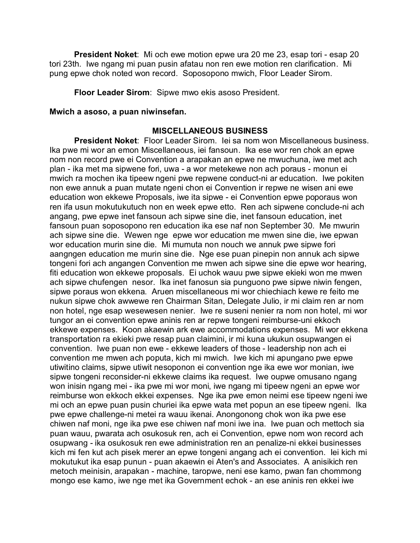**President Noket**: Mi och ewe motion epwe ura 20 me 23, esap tori - esap 20 tori 23th. Iwe ngang mi puan pusin afatau non ren ewe motion ren clarification. Mi pung epwe chok noted won record. Soposopono mwich, Floor Leader Sirom.

**Floor Leader Sirom**: Sipwe mwo ekis asoso President.

#### **Mwich a asoso, a puan niwinsefan.**

#### **MISCELLANEOUS BUSINESS**

**President Noket**: Floor Leader Sirom. Iei sa nom won Miscellaneous business. Ika pwe mi wor an emon Miscellaneous, iei fansoun. Ika ese wor ren chok an epwe nom non record pwe ei Convention a arapakan an epwe ne mwuchuna, iwe met ach plan - ika met ma sipwene fori, uwa - a wor metekewe non ach poraus - monun ei mwich ra mochen ika tipeew ngeni pwe repwene conduct-ni ar education. Iwe pokiten non ewe annuk a puan mutate ngeni chon ei Convention ir repwe ne wisen ani ewe education won ekkewe Proposals, iwe ita sipwe - ei Convention epwe poporaus won ren ifa usun mokutukutuch non en week epwe etto. Ren ach sipwene conclude-ni ach angang, pwe epwe inet fansoun ach sipwe sine die, inet fansoun education, inet fansoun puan soposopono ren education ika ese naf non September 30. Me mwurin ach sipwe sine die. Wewen nge epwe wor education me mwen sine die, iwe epwan wor education murin sine die. Mi mumuta non nouch we annuk pwe sipwe fori aangngen education me murin sine die. Nge ese puan pinepin non annuk ach sipwe tongeni fori ach angangen Convention me mwen ach sipwe sine die epwe wor hearing, fiti education won ekkewe proposals. Ei uchok wauu pwe sipwe ekieki won me mwen ach sipwe chufengen nesor. Ika inet fanosun sia punguono pwe sipwe niwin fengen, sipwe poraus won ekkena. Aruen miscellaneous mi wor chiechiach kewe re feito me nukun sipwe chok awwewe ren Chairman Sitan, Delegate Julio, ir mi claim ren ar nom non hotel, nge esap wesewesen nenier. Iwe re suseni nenier ra nom non hotel, mi wor tungor an ei convention epwe aninis ren ar repwe tongeni reimburse-uni ekkoch ekkewe expenses. Koon akaewin ark ewe accommodations expenses. Mi wor ekkena transportation ra ekieki pwe resap puan claimini, ir mi kuna ukukun osupwangen ei convention. Iwe puan non ewe - ekkewe leaders of those - leadership non ach ei convention me mwen ach poputa, kich mi mwich. Iwe kich mi apungano pwe epwe utiwitino claims, sipwe utiwit nesoponon ei convention nge ika ewe wor monian, iwe sipwe tongeni reconsider-ni ekkewe claims ika request. Iwe oupwe omusano ngang won inisin ngang mei - ika pwe mi wor moni, iwe ngang mi tipeew ngeni an epwe wor reimburse won ekkoch ekkei expenses. Nge ika pwe emon neimi ese tipeew ngeni iwe mi och an epwe puan pusin churiei ika epwe wata met popun an ese tipeew ngeni. Ika pwe epwe challenge-ni metei ra wauu ikenai. Anongonong chok won ika pwe ese chiwen naf moni, nge ika pwe ese chiwen naf moni iwe ina. Iwe puan och mettoch sia puan wauu, pwarata ach osukosuk ren, ach ei Convention, epwe nom won record ach osupwang - ika osukosuk ren ewe administration ren an penalize-ni ekkei businesses kich mi fen kut ach pisek merer an epwe tongeni angang ach ei convention. Iei kich mi mokutukut ika esap punun - puan akaewin ei Aten's and Associates. A anisikich ren metoch meinisin, arapakan - machine, taropwe, neni ese kamo, pwan fan chommong mongo ese kamo, iwe nge met ika Government echok - an ese aninis ren ekkei iwe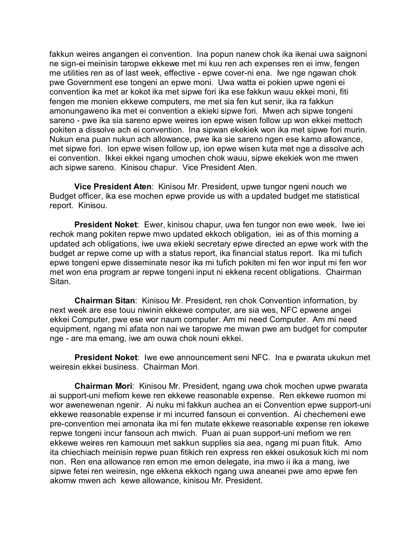fakkun weires angangen ei convention. Ina popun nanew chok ika ikenai uwa saignoni ne sign-ei meinisin taropwe ekkewe met mi kuu ren ach expenses ren ei imw, fengen me utilities ren as of last week, effective - epwe cover-ni ena. Iwe nge ngawan chok pwe Government ese tongeni an epwe moni. Uwa watta ei pokien upwe ngeni ei convention ika met ar kokot ika met sipwe fori ika ese fakkun wauu ekkei moni, fiti fengen me monien ekkewe computers, me met sia fen kut senir, ika ra fakkun amonungaweno ika met ei convention a ekieki sipwe fori. Mwen ach sipwe tongeni sareno - pwe ika sia sareno epwe weires ion epwe wisen follow up won ekkei mettoch pokiten a dissolve ach ei convention. Ina sipwan ekekiek won ika met sipwe fori murin. Nukun ena puan nukun ach allowance, pwe ika sie sareno ngen ese kamo allowance, met sipwe fori. Ion epwe wisen follow up, ion epwe wisen kuta met nge a dissolve ach ei convention. Ikkei ekkei ngang umochen chok wauu, sipwe ekekiek won me mwen ach sipwe sareno. Kinisou chapur. Vice President Aten.

**Vice President Aten**: Kinisou Mr. President, upwe tungor ngeni nouch we Budget officer, ika ese mochen epwe provide us with a updated budget me statistical report. Kinisou.

**President Noket**: Ewer, kinisou chapur, uwa fen tungor non ewe week. Iwe iei rechok mang pokiten repwe mwo updated ekkoch obligation, iei as of this morning a updated ach obligations, iwe uwa ekieki secretary epwe directed an epwe work with the budget ar repwe come up with a status report, ika financial status report. Ika mi tufich epwe tongeni epwe disseminate nesor ika mi tufich pokiten mi fen wor input mi fen wor met won ena program ar repwe tongeni input ni ekkena recent obligations. Chairman Sitan.

**Chairman Sitan**: Kinisou Mr. President, ren chok Convention information, by next week are ese touu niwinin ekkewe computer, are sia wes, NFC epwene angei ekkei Computer, pwe ese wor naum computer. Am mi need Computer. Am mi need equipment, ngang mi afata non nai we taropwe me mwan pwe am budget for computer nge - are ma emang, iwe am ouwa chok nouni ekkei.

**President Noket**: Iwe ewe announcement seni NFC. Ina e pwarata ukukun met weiresin ekkei business. Chairman Mori.

**Chairman Mori**: Kinisou Mr. President, ngang uwa chok mochen upwe pwarata ai support-uni mefiom kewe ren ekkewe reasonable expense. Ren ekkewe ruomon mi wor awenewenan ngenir. Ai nuku mi fakkun auchea an ei Convention epwe support-uni ekkewe reasonable expense ir mi incurred fansoun ei convention. Ai chechemeni ewe pre-convention mei amonata ika mi fen mutate ekkewe reasonable expense ren iokewe repwe tongeni incur fansoun ach mwich. Puan ai puan support-uni mefiom we ren ekkewe weires ren kamouun met sakkun supplies sia aea, ngang mi puan fituk. Amo ita chiechiach meinisin repwe puan fitikich ren express ren ekkei osukosuk kich mi nom non. Ren ena allowance ren emon me emon delegate, ina mwo ii ika a mang, iwe sipwe fetei ren weiresin, nge ekkena ekkoch ngang uwa aneanei pwe amo epwe fen akomw mwen ach kewe allowance, kinisou Mr. President.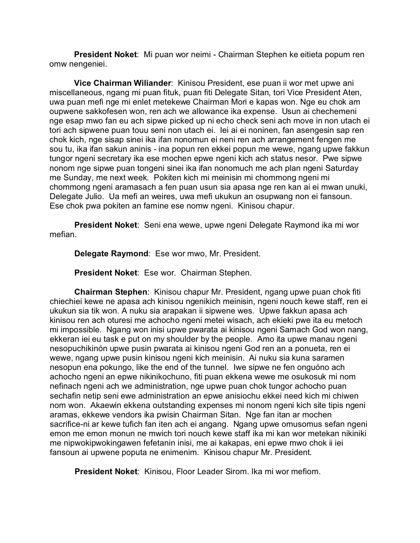**President Noket**: Mi puan wor neimi - Chairman Stephen ke eitieta popum ren omw nengeniei.

**Vice Chairman Wiliander**: Kinisou President, ese puan ii wor met upwe ani miscellaneous, ngang mi puan fituk, puan fiti Delegate Sitan, tori Vice President Aten, uwa puan mefi nge mi enlet metekewe Chairman Mori e kapas won. Nge eu chok am oupwene sakkofesen won, ren ach we allowance ika expense. Usun ai chechemeni nge esap mwo fan eu ach sipwe picked up ni echo check seni ach move in non utach ei tori ach sipwene puan touu seni non utach ei. Iei ai ei noninen, fan asengesin sap ren chok kich, nge sisap sinei ika ifan nonomun ei neni ren ach arrangement fengen me sou tu, ika ifan sakun aninis - ina popun ren ekkei popun me wewe, ngang upwe fakkun tungor ngeni secretary ika ese mochen epwe ngeni kich ach status nesor. Pwe sipwe nonom nge sipwe puan tongeni sinei ika ifan nonomuch me ach plan ngeni Saturday me Sunday, me next week. Pokiten kich mi meinisin mi chommong ngeni mi chommong ngeni aramasach a fen puan usun sia apasa nge ren kan ai ei mwan unuki, Delegate Julio. Ua mefi an weires, uwa mefi ukukun an osupwang non ei fansoun. Ese chok pwa pokiten an famine ese nomw ngeni. Kinisou chapur.

**President Noket**: Seni ena wewe, upwe ngeni Delegate Raymond ika mi wor mefian.

**Delegate Raymond**: Ese wor mwo, Mr. President.

**President Noket**: Ese wor. Chairman Stephen.

**Chairman Stephen**: Kinisou chapur Mr. President, ngang upwe puan chok fiti chiechiei kewe ne apasa ach kinisou ngenikich meinisin, ngeni nouch kewe staff, ren ei ukukun sia tik won. A nuku sia arapakan ii sipwene wes. Upwe fakkun apasa ach kinisou ren ach oturesi me achocho ngeni metei wisach, ach ekieki pwe ita eu metoch mi impossible. Ngang won inisi upwe pwarata ai kinisou ngeni Samach God won nang, ekkeran iei eu task e put on my shoulder by the people. Amo ita upwe manau ngeni nesopuchikinón upwe pusin pwarata ai kinisou ngeni God ren an a ponueta, ren ei wewe, ngang upwe pusin kinisou ngeni kich meinisin. Ai nuku sia kuna saramen nesopun ena pokungo, like the end of the tunnel. Iwe sipwe ne fen onguóno ach achocho ngeni an epwe nikinikochuno, fiti puan ekkena wewe me osukosuk mi nom nefinach ngeni ach we administration, nge upwe puan chok tungor achocho puan sechafin netip seni ewe administration an epwe anisiochu ekkei need kich mi chiwen nom won. Akaewin ekkena outstanding expenses mi nonom ngeni kich site tipis ngeni aramas, ekkewe vendors ika pwisin Chairman Sitan. Nge fan itan ar mochen sacrifice-ni ar kewe tufich fan iten ach ei angang. Ngang upwe omusomus sefan ngeni emon me emon monun ne mwich tori nouch kewe staff ika mi kan wor metekan nikiniki me nipwokipwokingawen fefetanin inisi, me ai kakapas, eni epwe mwo chok ii iei fansoun ai upwene poputa ne enimenim. Kinisou chapur Mr. President.

**President Noket**: Kinisou, Floor Leader Sirom. Ika mi wor mefiom.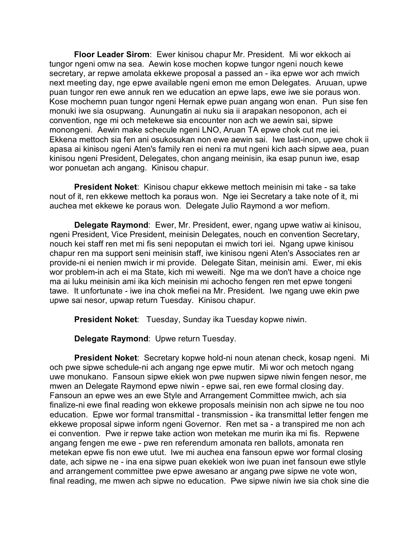**Floor Leader Sirom**: Ewer kinisou chapur Mr. President. Mi wor ekkoch ai tungor ngeni omw na sea. Aewin kose mochen kopwe tungor ngeni nouch kewe secretary, ar repwe amolata ekkewe proposal a passed an - ika epwe wor ach mwich next meeting day, nge epwe available ngeni emon me emon Delegates. Aruuan, upwe puan tungor ren ewe annuk ren we education an epwe laps, ewe iwe sie poraus won. Kose mochemn puan tungor ngeni Hernak epwe puan angang won enan. Pun sise fen monuki iwe sia osupwang. Aunungatin ai nuku sia ii arapakan nesoponon, ach ei convention, nge mi och metekewe sia encounter non ach we aewin sai, sipwe monongeni. Aewin make schecule ngeni LNO, Aruan TA epwe chok cut me iei. Ekkena mettoch sia fen ani osukosukan non ewe aewin sai. Iwe last-inon, upwe chok ii apasa ai kinisou ngeni Aten's family ren ei neni ra mut ngeni kich aach sipwe aea, puan kinisou ngeni President, Delegates, chon angang meinisin, ika esap punun iwe, esap wor ponuetan ach angang. Kinisou chapur.

**President Noket**: Kinisou chapur ekkewe mettoch meinisin mi take - sa take nout of it, ren ekkewe mettoch ka poraus won. Nge iei Secretary a take note of it, mi auchea met ekkewe ke poraus won. Delegate Julio Raymond a wor mefiom.

**Delegate Raymond**: Ewer, Mr. President, ewer, ngang upwe watiw ai kinisou, ngeni President, Vice President, meinisin Delegates, nouch en convention Secretary, nouch kei staff ren met mi fis seni nepoputan ei mwich tori iei. Ngang upwe kinisou chapur ren ma support seni meinisin staff, iwe kinisou ngeni Aten's Associates ren ar provide-ni ei nenien mwich ir mi provide. Delegate Sitan, meinisin ami. Ewer, mi ekis wor problem-in ach ei ma State, kich mi weweiti. Nge ma we don't have a choice nge ma ai luku meinisin ami ika kich meinisin mi achocho fengen ren met epwe tongeni tawe. It unfortunate - iwe ina chok mefiei na Mr. President. Iwe ngang uwe ekin pwe upwe sai nesor, upwap return Tuesday. Kinisou chapur.

**President Noket**: Tuesday, Sunday ika Tuesday kopwe niwin.

**Delegate Raymond**: Upwe return Tuesday.

**President Noket**: Secretary kopwe hold-ni noun atenan check, kosap ngeni. Mi och pwe sipwe schedule-ni ach angang nge epwe mutir. Mi wor och metoch ngang uwe monukano. Fansoun sipwe ekiek won pwe nupwen sipwe niwin fengen nesor, me mwen an Delegate Raymond epwe niwin - epwe sai, ren ewe formal closing day. Fansoun an epwe wes an ewe Style and Arrangement Committee mwich, ach sia finalize-ni ewe final reading won ekkewe proposals meinisin non ach sipwe ne tou noo education. Epwe wor formal transmittal - transmission - ika transmittal letter fengen me ekkewe proposal sipwe inform ngeni Governor. Ren met sa - a transpired me non ach ei convention. Pwe ir repwe take action won metekan me murin ika mi fis. Repwene angang fengen me ewe - pwe ren referendum amonata ren ballots, amonata ren metekan epwe fis non ewe utut. Iwe mi auchea ena fansoun epwe wor formal closing date, ach sipwe ne - ina ena sipwe puan ekekiek won iwe puan inet fansoun ewe stlyle and arrangement committee pwe epwe awesano ar angang pwe sipwe ne vote won, final reading, me mwen ach sipwe no education. Pwe sipwe niwin iwe sia chok sine die